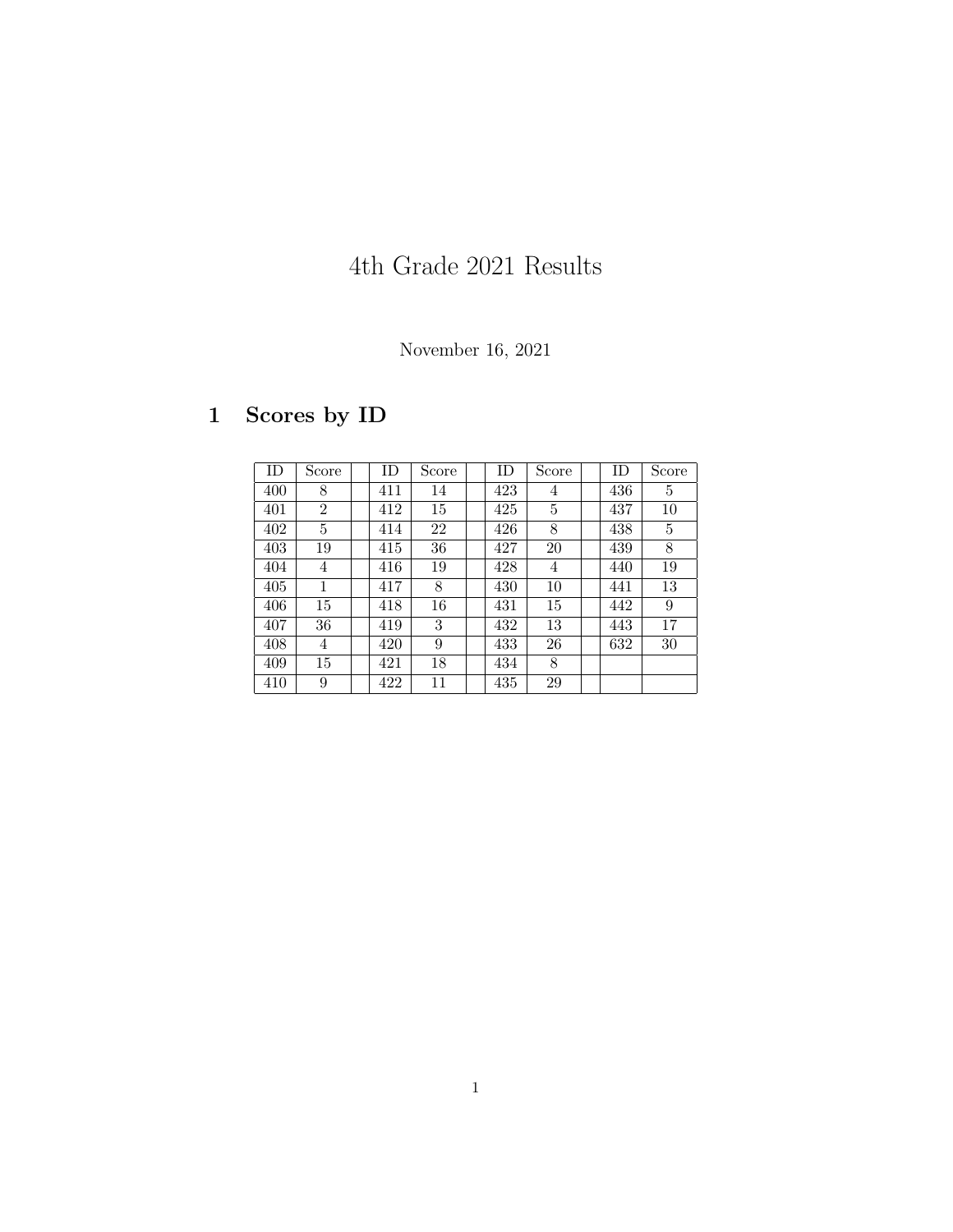# 4th Grade 2021 Results

### November 16, 2021

## 1 Scores by ID

| ID  | Score          | ID  | Score | ID  | Score | ID  | Score |
|-----|----------------|-----|-------|-----|-------|-----|-------|
| 400 | 8              | 411 | 14    | 423 | 4     | 436 | 5     |
| 401 | $\overline{2}$ | 412 | 15    | 425 | 5     | 437 | 10    |
| 402 | 5              | 414 | 22    | 426 | 8     | 438 | 5     |
| 403 | 19             | 415 | 36    | 427 | 20    | 439 | 8     |
| 404 | 4              | 416 | 19    | 428 | 4     | 440 | 19    |
| 405 | 1              | 417 | 8     | 430 | 10    | 441 | 13    |
| 406 | 15             | 418 | 16    | 431 | 15    | 442 | 9     |
| 407 | 36             | 419 | 3     | 432 | 13    | 443 | 17    |
| 408 | 4              | 420 | 9     | 433 | 26    | 632 | 30    |
| 409 | 15             | 421 | 18    | 434 | 8     |     |       |
| 410 | 9              | 422 | 11    | 435 | 29    |     |       |